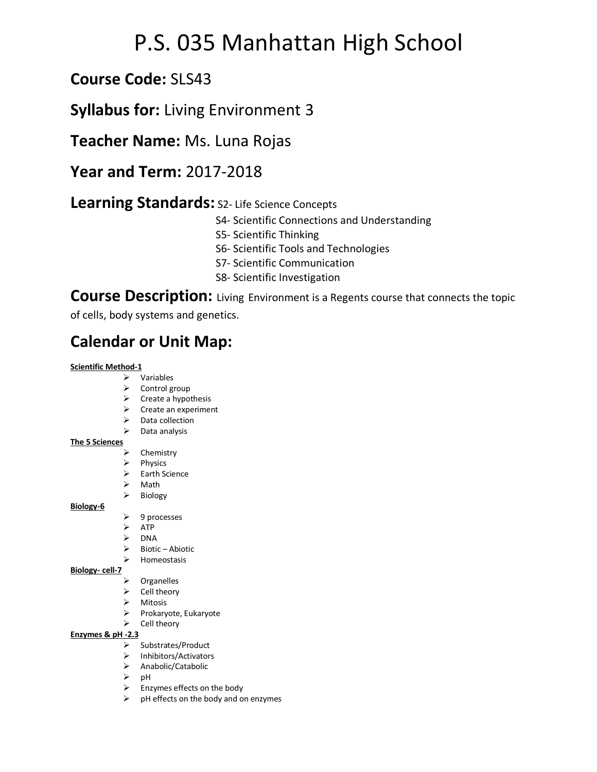# P.S. 035 Manhattan High School

## **Course Code:** SLS43

### **Syllabus for:** Living Environment 3

**Teacher Name:** Ms. Luna Rojas

**Year and Term:** 2017-2018

### **Learning Standards:** S2- Life Science Concepts

- S4- Scientific Connections and Understanding
- S5- Scientific Thinking
- S6- Scientific Tools and Technologies
- S7- Scientific Communication
- S8- Scientific Investigation

**Course Description:** Living Environment is a Regents course that connects the topic

of cells, body systems and genetics.

# **Calendar or Unit Map:**

#### **Scientific Method-1**

- $\triangleright$  Variables
- $\triangleright$  Control group
- $\triangleright$  Create a hypothesis
- $\triangleright$  Create an experiment
- $\triangleright$  Data collection
- $\triangleright$  Data analysis

#### **The 5 Sciences**

- $\triangleright$  Chemistry
- $\triangleright$  Physics
- $\triangleright$  Earth Science
- $\triangleright$  Math
- $\triangleright$  Biology
	- $\triangleright$  9 processes
	- $\triangleright$  ATP
	- $\triangleright$  DNA
	- $\triangleright$  Biotic Abiotic
	- $\triangleright$  Homeostasis

#### **Biology- cell-7**

**Biology-6**

- $\triangleright$  Organelles
- $\triangleright$  Cell theory
- $\triangleright$  Mitosis
- Ø Prokaryote, Eukaryote
- $\triangleright$  Cell theory

#### **Enzymes & pH -2.3**

- $\triangleright$  Substrates/Product
- Ø Inhibitors/Activators
- Ø Anabolic/Catabolic
- $\triangleright$  pH
- $\triangleright$  Enzymes effects on the body
- $\triangleright$  pH effects on the body and on enzymes